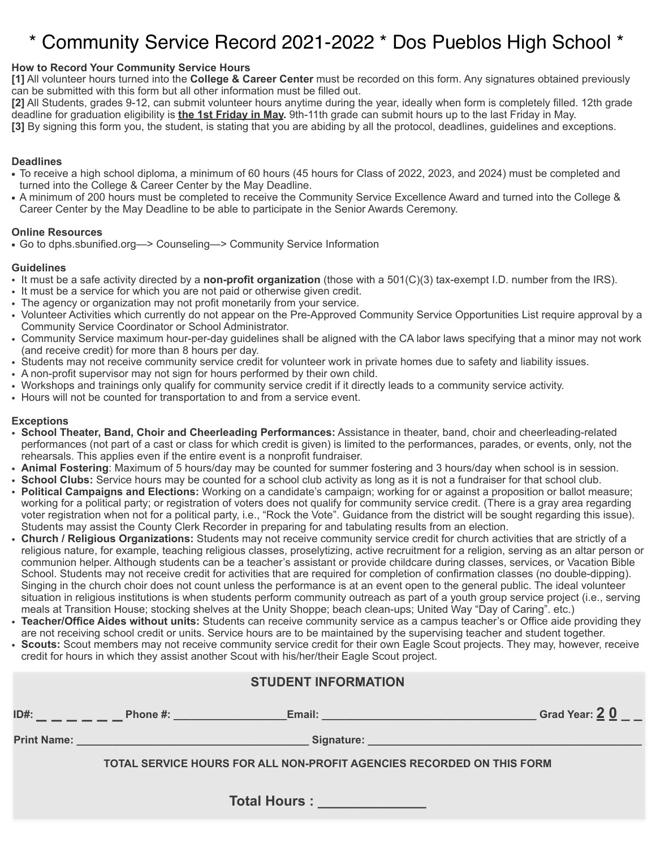# \* Community Service Record 2021-2022 \* Dos Pueblos High School \*

# **How to Record Your Community Service Hours**

**[1]** All volunteer hours turned into the **College & Career Center** must be recorded on this form. Any signatures obtained previously can be submitted with this form but all other information must be filled out.

**[2]** All Students, grades 9-12, can submit volunteer hours anytime during the year, ideally when form is completely filled. 12th grade deadline for graduation eligibility is **the 1st Friday in May.** 9th-11th grade can submit hours up to the last Friday in May.

**[3]** By signing this form you, the student, is stating that you are abiding by all the protocol, deadlines, guidelines and exceptions.

## **Deadlines**

- **•** To receive a high school diploma, a minimum of 60 hours (45 hours for Class of 2022, 2023, and 2024) must be completed and turned into the College & Career Center by the May Deadline.
- **•** A minimum of 200 hours must be completed to receive the Community Service Excellence Award and turned into the College & Career Center by the May Deadline to be able to participate in the Senior Awards Ceremony.

#### **Online Resources**

**•** Go to dphs.sbunified.org—> Counseling—> Community Service Information

#### **Guidelines**

- It must be a safe activity directed by a **non-profit organization** (those with a 501(C)(3) tax-exempt I.D. number from the IRS).
- It must be a service for which you are not paid or otherwise given credit.
- The agency or organization may not profit monetarily from your service.
- Volunteer Activities which currently do not appear on the Pre-Approved Community Service Opportunities List require approval by a Community Service Coordinator or School Administrator.
- Community Service maximum hour-per-day guidelines shall be aligned with the CA labor laws specifying that a minor may not work (and receive credit) for more than 8 hours per day.
- Students may not receive community service credit for volunteer work in private homes due to safety and liability issues.
- A non-profit supervisor may not sign for hours performed by their own child.
- Workshops and trainings only qualify for community service credit if it directly leads to a community service activity.
- Hours will not be counted for transportation to and from a service event.

## **Exceptions**

- **School Theater, Band, Choir and Cheerleading Performances:** Assistance in theater, band, choir and cheerleading-related performances (not part of a cast or class for which credit is given) is limited to the performances, parades, or events, only, not the rehearsals. This applies even if the entire event is a nonprofit fundraiser.
- **Animal Fostering**: Maximum of 5 hours/day may be counted for summer fostering and 3 hours/day when school is in session.
- **School Clubs:** Service hours may be counted for a school club activity as long as it is not a fundraiser for that school club.
- **Political Campaigns and Elections:** Working on a candidate's campaign; working for or against a proposition or ballot measure; working for a political party; or registration of voters does not qualify for community service credit. (There is a gray area regarding voter registration when not for a political party, i.e., "Rock the Vote". Guidance from the district will be sought regarding this issue). Students may assist the County Clerk Recorder in preparing for and tabulating results from an election.
- **Church / Religious Organizations:** Students may not receive community service credit for church activities that are strictly of a religious nature, for example, teaching religious classes, proselytizing, active recruitment for a religion, serving as an altar person or communion helper. Although students can be a teacher's assistant or provide childcare during classes, services, or Vacation Bible School. Students may not receive credit for activities that are required for completion of confirmation classes (no double-dipping). Singing in the church choir does not count unless the performance is at an event open to the general public. The ideal volunteer situation in religious institutions is when students perform community outreach as part of a youth group service project (i.e., serving meals at Transition House; stocking shelves at the Unity Shoppe; beach clean-ups; United Way "Day of Caring". etc.)
- **Teacher/Office Aides without units:** Students can receive community service as a campus teacher's or Office aide providing they are not receiving school credit or units. Service hours are to be maintained by the supervising teacher and student together.
- **Scouts:** Scout members may not receive community service credit for their own Eagle Scout projects. They may, however, receive credit for hours in which they assist another Scout with his/her/their Eagle Scout project.

| <b>STUDENT INFORMATION</b>                                            |                                                                                                                |                                                           |                                                                                                                      |  |  |  |  |
|-----------------------------------------------------------------------|----------------------------------------------------------------------------------------------------------------|-----------------------------------------------------------|----------------------------------------------------------------------------------------------------------------------|--|--|--|--|
|                                                                       |                                                                                                                |                                                           | Grad Year: 20                                                                                                        |  |  |  |  |
|                                                                       | Print Name: Name: Name and Name and Name and Name and Name and Name and Name and Name and Name and Name and Na |                                                           | Signature: <u>Contract of Contract of Contract of Contract of Contract of Contract of Contract of Contract of Co</u> |  |  |  |  |
| TOTAL SERVICE HOURS FOR ALL NON-PROFIT AGENCIES RECORDED ON THIS FORM |                                                                                                                |                                                           |                                                                                                                      |  |  |  |  |
|                                                                       |                                                                                                                | Total Hours : New York District Property of Total Hours : |                                                                                                                      |  |  |  |  |